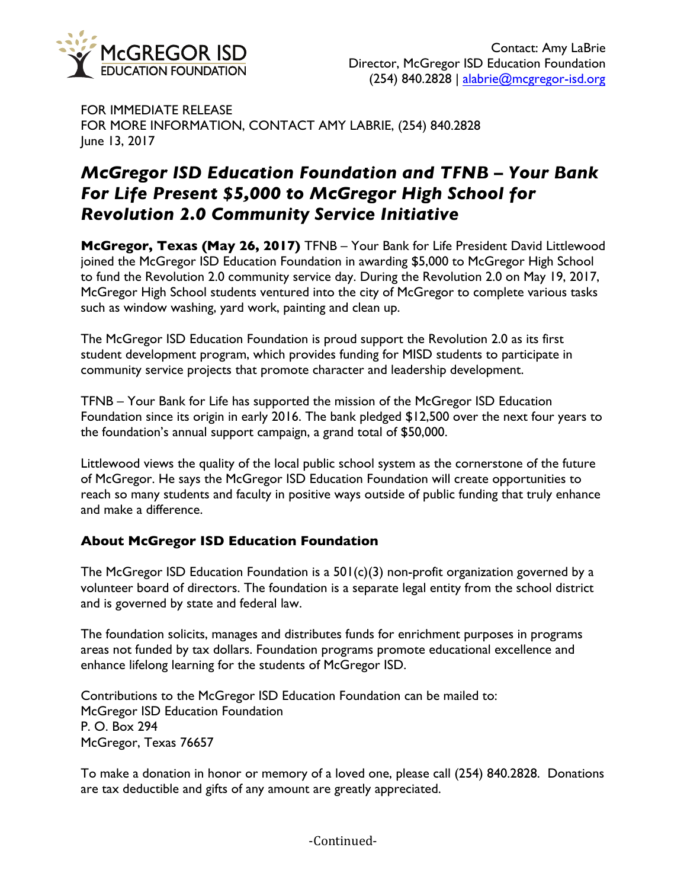

FOR IMMEDIATE RELEASE FOR MORE INFORMATION, CONTACT AMY LABRIE, (254) 840.2828 June 13, 2017

# *McGregor ISD Education Foundation and TFNB – Your Bank For Life Present \$5,000 to McGregor High School for Revolution 2.0 Community Service Initiative*

**McGregor, Texas (May 26, 2017)** TFNB – Your Bank for Life President David Littlewood joined the McGregor ISD Education Foundation in awarding \$5,000 to McGregor High School to fund the Revolution 2.0 community service day. During the Revolution 2.0 on May 19, 2017, McGregor High School students ventured into the city of McGregor to complete various tasks such as window washing, yard work, painting and clean up.

The McGregor ISD Education Foundation is proud support the Revolution 2.0 as its first student development program, which provides funding for MISD students to participate in community service projects that promote character and leadership development.

TFNB – Your Bank for Life has supported the mission of the McGregor ISD Education Foundation since its origin in early 2016. The bank pledged \$12,500 over the next four years to the foundation's annual support campaign, a grand total of \$50,000.

Littlewood views the quality of the local public school system as the cornerstone of the future of McGregor. He says the McGregor ISD Education Foundation will create opportunities to reach so many students and faculty in positive ways outside of public funding that truly enhance and make a difference.

# **About McGregor ISD Education Foundation**

The McGregor ISD Education Foundation is a  $501(c)(3)$  non-profit organization governed by a volunteer board of directors. The foundation is a separate legal entity from the school district and is governed by state and federal law.

The foundation solicits, manages and distributes funds for enrichment purposes in programs areas not funded by tax dollars. Foundation programs promote educational excellence and enhance lifelong learning for the students of McGregor ISD.

Contributions to the McGregor ISD Education Foundation can be mailed to: McGregor ISD Education Foundation P. O. Box 294 McGregor, Texas 76657

To make a donation in honor or memory of a loved one, please call (254) 840.2828. Donations are tax deductible and gifts of any amount are greatly appreciated.